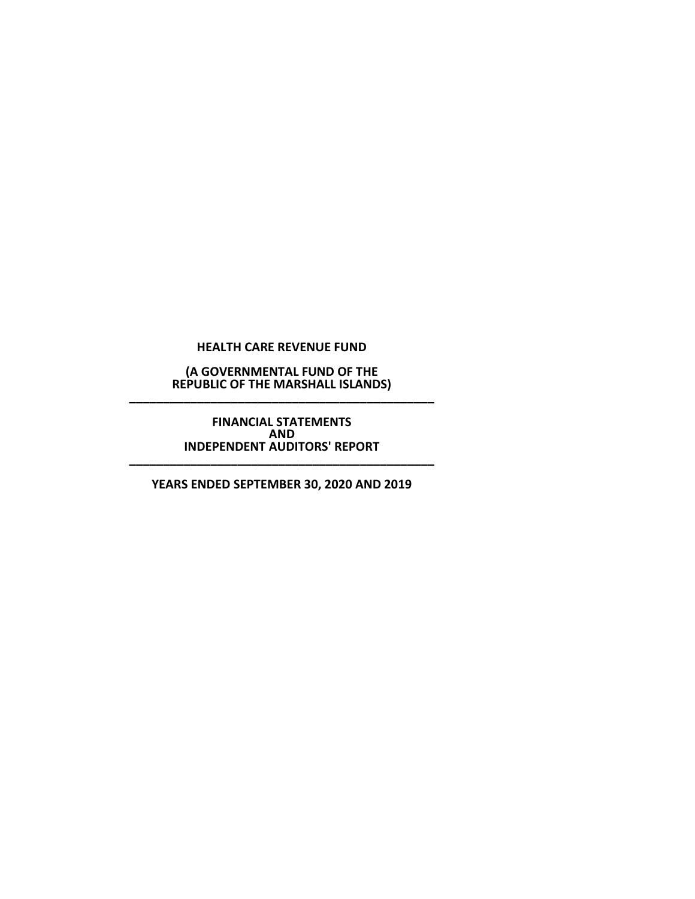**(A GOVERNMENTAL FUND OF THE REPUBLIC OF THE MARSHALL ISLANDS) \_\_\_\_\_\_\_\_\_\_\_\_\_\_\_\_\_\_\_\_\_\_\_\_\_\_\_\_\_\_\_\_\_\_\_\_\_\_\_\_\_\_\_\_\_** 

> **FINANCIAL STATEMENTS AND INDEPENDENT AUDITORS' REPORT**

**\_\_\_\_\_\_\_\_\_\_\_\_\_\_\_\_\_\_\_\_\_\_\_\_\_\_\_\_\_\_\_\_\_\_\_\_\_\_\_\_\_\_\_\_\_** 

**YEARS ENDED SEPTEMBER 30, 2020 AND 2019**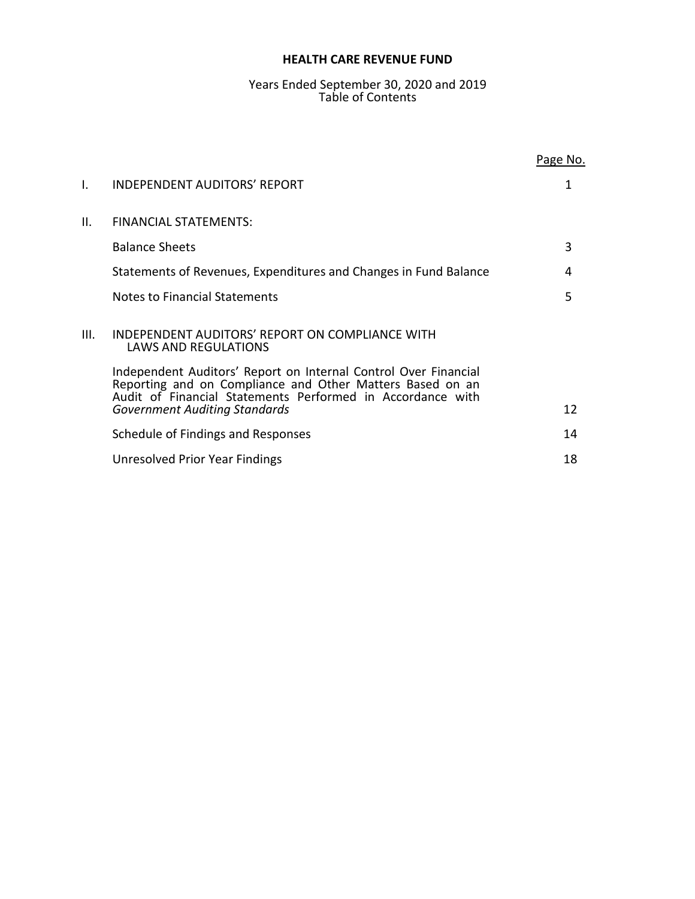# Years Ended September 30, 2020 and 2019 Table of Contents

|      |                                                                                                                                                                                                                                                                                                                      | Page No. |
|------|----------------------------------------------------------------------------------------------------------------------------------------------------------------------------------------------------------------------------------------------------------------------------------------------------------------------|----------|
| I.   | <b>INDEPENDENT AUDITORS' REPORT</b>                                                                                                                                                                                                                                                                                  | 1        |
| II.  | <b>FINANCIAL STATEMENTS:</b>                                                                                                                                                                                                                                                                                         |          |
|      | <b>Balance Sheets</b>                                                                                                                                                                                                                                                                                                | 3        |
|      | Statements of Revenues, Expenditures and Changes in Fund Balance                                                                                                                                                                                                                                                     | 4        |
|      | Notes to Financial Statements                                                                                                                                                                                                                                                                                        | 5        |
| III. | INDEPENDENT AUDITORS' REPORT ON COMPLIANCE WITH<br><b>LAWS AND REGULATIONS</b><br>Independent Auditors' Report on Internal Control Over Financial<br>Reporting and on Compliance and Other Matters Based on an<br>Audit of Financial Statements Performed in Accordance with<br><b>Government Auditing Standards</b> | 12       |
|      | Schedule of Findings and Responses                                                                                                                                                                                                                                                                                   | 14       |
|      | Unresolved Prior Year Findings                                                                                                                                                                                                                                                                                       | 18       |
|      |                                                                                                                                                                                                                                                                                                                      |          |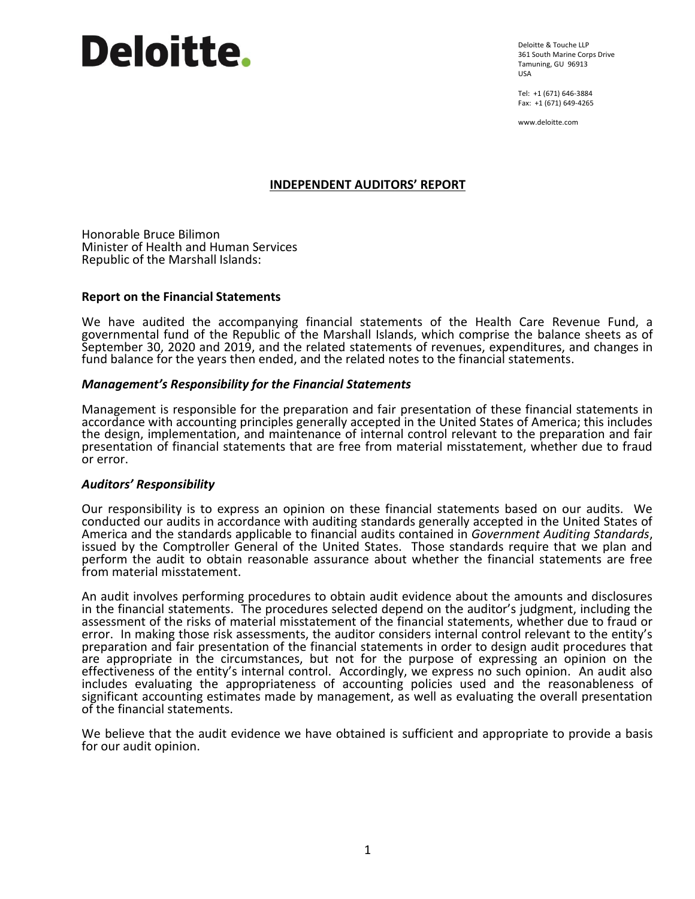Deloitte & Touche LLP 361 South Marine Corps Drive Tamuning, GU 96913 USA

Tel: +1 (671) 646-3884 Fax: +1 (671) 649-4265

www.deloitte.com

# **INDEPENDENT AUDITORS' REPORT**

Honorable Bruce Bilimon Minister of Health and Human Services Republic of the Marshall Islands:

# **Report on the Financial Statements**

We have audited the accompanying financial statements of the Health Care Revenue Fund, a governmental fund of the Republic of the Marshall Islands, which comprise the balance sheets as of September 30, 2020 and 2019, and the related statements of revenues, expenditures, and changes in fund balance for the years then ended, and the related notes to the financial statements.

# *Management's Responsibility for the Financial Statements*

Management is responsible for the preparation and fair presentation of these financial statements in accordance with accounting principles generally accepted in the United States of America; this includes the design, implementation, and maintenance of internal control relevant to the preparation and fair presentation of financial statements that are free from material misstatement, whether due to fraud or error.

#### *Auditors' Responsibility*

Our responsibility is to express an opinion on these financial statements based on our audits. We conducted our audits in accordance with auditing standards generally accepted in the United States of America and the standards applicable to financial audits contained in *Government Auditing Standards*, issued by the Comptroller General of the United States. Those standards require that we plan and perform the audit to obtain reasonable assurance about whether the financial statements are free from material misstatement.

An audit involves performing procedures to obtain audit evidence about the amounts and disclosures in the financial statements. The procedures selected depend on the auditor's judgment, including the assessment of the risks of material misstatement of the financial statements, whether due to fraud or error. In making those risk assessments, the auditor considers internal control relevant to the entity's preparation and fair presentation of the financial statements in order to design audit procedures that are appropriate in the circumstances, but not for the purpose of expressing an opinion on the effectiveness of the entity's internal control. Accordingly, we express no such opinion. An audit also includes evaluating the appropriateness of accounting policies used and the reasonableness of significant accounting estimates made by management, as well as evaluating the overall presentation of the financial statements.

We believe that the audit evidence we have obtained is sufficient and appropriate to provide a basis for our audit opinion.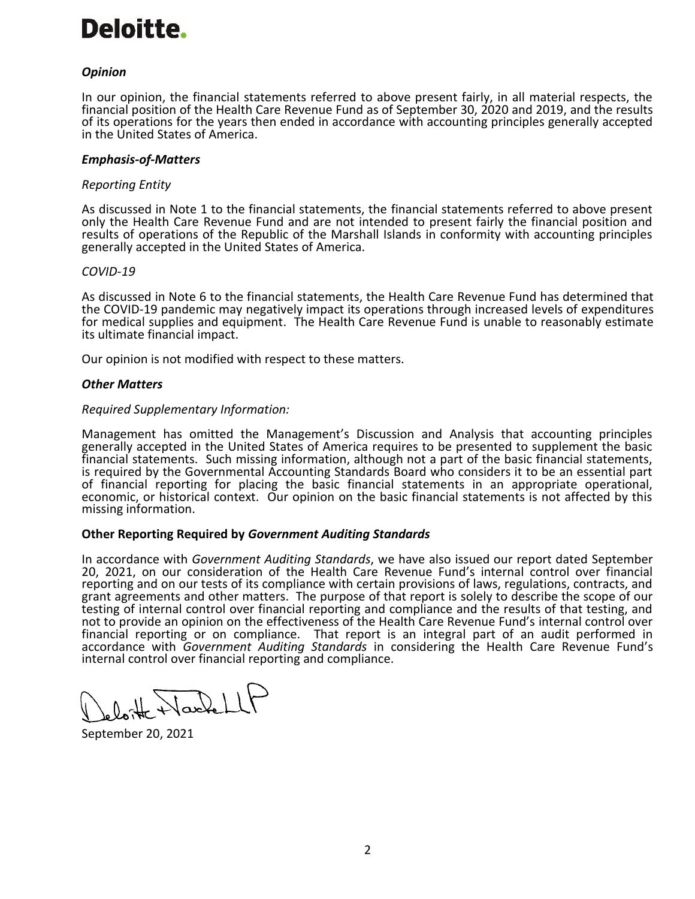# *Opinion*

In our opinion, the financial statements referred to above present fairly, in all material respects, the financial position of the Health Care Revenue Fund as of September 30, 2020 and 2019, and the results of its operations for the years then ended in accordance with accounting principles generally accepted in the United States of America.

# *Emphasis-of-Matters*

# *Reporting Entity*

As discussed in Note 1 to the financial statements, the financial statements referred to above present only the Health Care Revenue Fund and are not intended to present fairly the financial position and results of operations of the Republic of the Marshall Islands in conformity with accounting principles generally accepted in the United States of America.

#### *COVID-19*

As discussed in Note 6 to the financial statements, the Health Care Revenue Fund has determined that the COVID-19 pandemic may negatively impact its operations through increased levels of expenditures for medical supplies and equipment. The Health Care Revenue Fund is unable to reasonably estimate its ultimate financial impact.

Our opinion is not modified with respect to these matters.

# *Other Matters*

# *Required Supplementary Information:*

Management has omitted the Management's Discussion and Analysis that accounting principles generally accepted in the United States of America requires to be presented to supplement the basic financial statements. Such missing information, although not a part of the basic financial statements, is required by the Governmental Accounting Standards Board who considers it to be an essential part of financial reporting for placing the basic financial statements in an appropriate operational, economic, or historical context. Our opinion on the basic financial statements is not affected by this missing information.

#### **Other Reporting Required by** *Government Auditing Standards*

In accordance with *Government Auditing Standards*, we have also issued our report dated September 20, 2021, on our consideration of the Health Care Revenue Fund's internal control over financial reporting and on our tests of its compliance with certain provisions of laws, regulations, contracts, and grant agreements and other matters. The purpose of that report is solely to describe the scope of our testing of internal control over financial reporting and compliance and the results of that testing, and not to provide an opinion on the effectiveness of the Health Care Revenue Fund's internal control over financial reporting or on compliance. That report is an integral part of an audit performed in accordance with *Government Auditing Standards* in considering the Health Care Revenue Fund's internal control over financial reporting and compliance.

leloite Harlett

September 20, 2021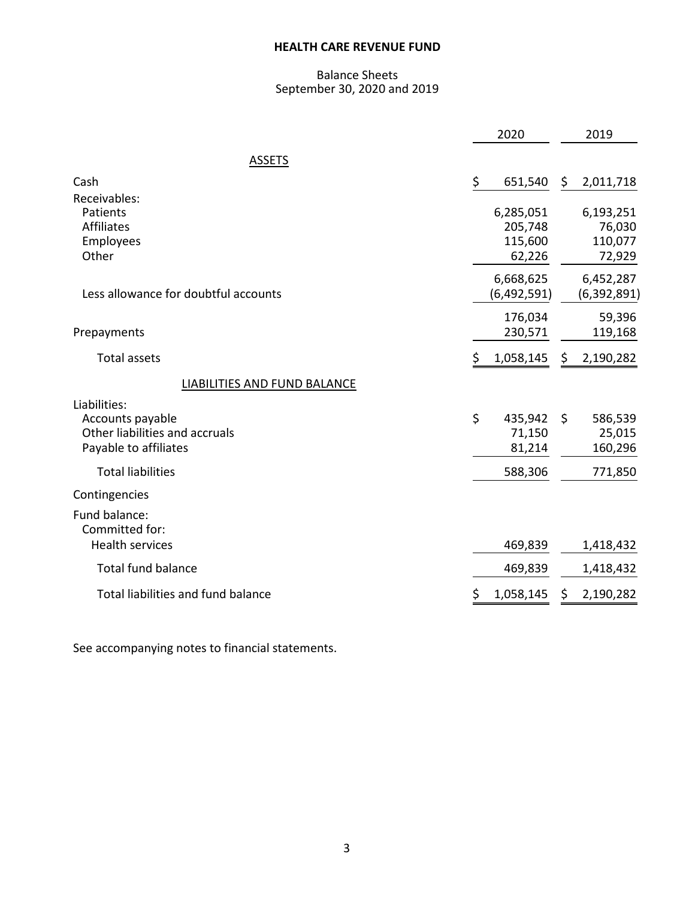# Balance Sheets September 30, 2020 and 2019

|                                                                                                                         | 2020                                      | 2019                                     |
|-------------------------------------------------------------------------------------------------------------------------|-------------------------------------------|------------------------------------------|
| <b>ASSETS</b>                                                                                                           |                                           |                                          |
| Cash                                                                                                                    | \$<br>651,540                             | 2,011,718<br>\$.                         |
| Receivables:<br>Patients<br><b>Affiliates</b><br>Employees<br>Other                                                     | 6,285,051<br>205,748<br>115,600<br>62,226 | 6,193,251<br>76,030<br>110,077<br>72,929 |
| Less allowance for doubtful accounts                                                                                    | 6,668,625<br>(6,492,591)                  | 6,452,287<br>(6, 392, 891)               |
| Prepayments                                                                                                             | 176,034<br>230,571                        | 59,396<br>119,168                        |
| <b>Total assets</b>                                                                                                     | \$<br>1,058,145                           | 2,190,282<br>\$                          |
| LIABILITIES AND FUND BALANCE                                                                                            |                                           |                                          |
| Liabilities:<br>Accounts payable<br>Other liabilities and accruals<br>Payable to affiliates<br><b>Total liabilities</b> | \$<br>435,942<br>71,150<br>81,214         | \$<br>586,539<br>25,015<br>160,296       |
|                                                                                                                         | 588,306                                   | 771,850                                  |
| Contingencies<br>Fund balance:<br>Committed for:                                                                        |                                           |                                          |
| <b>Health services</b>                                                                                                  | 469,839                                   | 1,418,432                                |
| <b>Total fund balance</b>                                                                                               | 469,839                                   | 1,418,432                                |
| Total liabilities and fund balance                                                                                      | \$<br>1,058,145                           | \$.<br>2,190,282                         |

See accompanying notes to financial statements.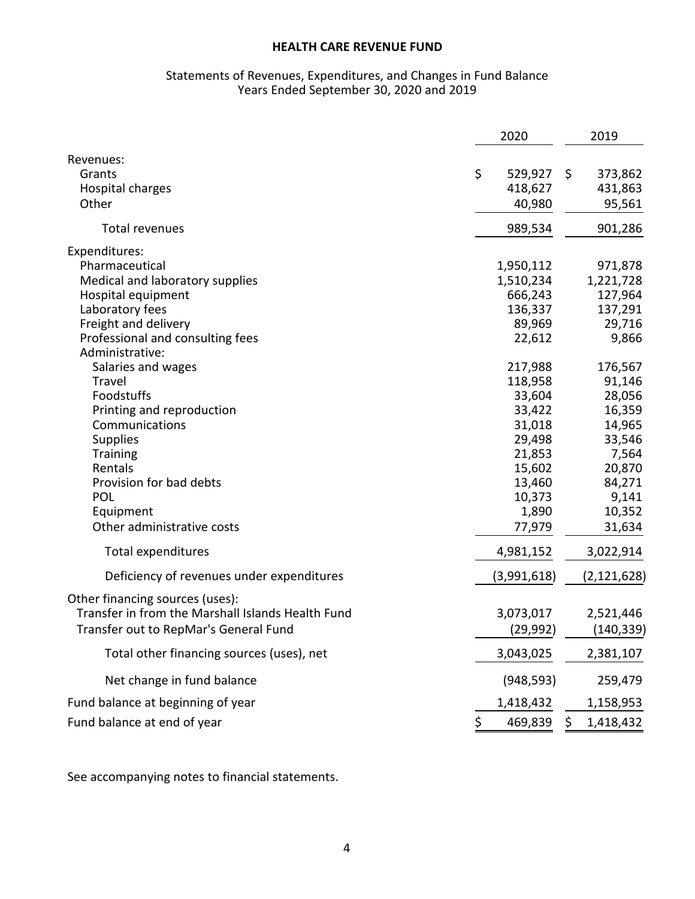# Statements of Revenues, Expenditures, and Changes in Fund Balance Years Ended September 30, 2020 and 2019

|                                                                                                                                                                                                                                            | 2020                                                                                                                  |    | 2019                                                                                                                |
|--------------------------------------------------------------------------------------------------------------------------------------------------------------------------------------------------------------------------------------------|-----------------------------------------------------------------------------------------------------------------------|----|---------------------------------------------------------------------------------------------------------------------|
| Revenues:<br>Grants<br>Hospital charges<br>Other                                                                                                                                                                                           | \$<br>529,927<br>418,627<br>40,980                                                                                    | \$ | 373,862<br>431,863<br>95,561                                                                                        |
| Total revenues                                                                                                                                                                                                                             | 989,534                                                                                                               |    | 901,286                                                                                                             |
| Expenditures:<br>Pharmaceutical<br>Medical and laboratory supplies<br>Hospital equipment<br>Laboratory fees<br>Freight and delivery<br>Professional and consulting fees                                                                    | 1,950,112<br>1,510,234<br>666,243<br>136,337<br>89,969<br>22,612                                                      |    | 971,878<br>1,221,728<br>127,964<br>137,291<br>29,716<br>9,866                                                       |
| Administrative:<br>Salaries and wages<br>Travel<br>Foodstuffs<br>Printing and reproduction<br>Communications<br><b>Supplies</b><br><b>Training</b><br>Rentals<br>Provision for bad debts<br>POL<br>Equipment<br>Other administrative costs | 217,988<br>118,958<br>33,604<br>33,422<br>31,018<br>29,498<br>21,853<br>15,602<br>13,460<br>10,373<br>1,890<br>77,979 |    | 176,567<br>91,146<br>28,056<br>16,359<br>14,965<br>33,546<br>7,564<br>20,870<br>84,271<br>9,141<br>10,352<br>31,634 |
| Total expenditures                                                                                                                                                                                                                         | 4,981,152                                                                                                             |    | 3,022,914                                                                                                           |
| Deficiency of revenues under expenditures                                                                                                                                                                                                  | (3,991,618)                                                                                                           |    | (2, 121, 628)                                                                                                       |
| Other financing sources (uses):<br>Transfer in from the Marshall Islands Health Fund<br>Transfer out to RepMar's General Fund                                                                                                              | 3,073,017<br>(29, 992)                                                                                                |    | 2,521,446<br>(140,339)                                                                                              |
| Total other financing sources (uses), net                                                                                                                                                                                                  | 3,043,025                                                                                                             |    | 2,381,107                                                                                                           |
| Net change in fund balance                                                                                                                                                                                                                 | (948, 593)                                                                                                            |    | 259,479                                                                                                             |
| Fund balance at beginning of year                                                                                                                                                                                                          | 1,418,432                                                                                                             |    | 1,158,953                                                                                                           |
| Fund balance at end of year                                                                                                                                                                                                                | \$<br>469,839                                                                                                         | Ş. | 1,418,432                                                                                                           |

See accompanying notes to financial statements.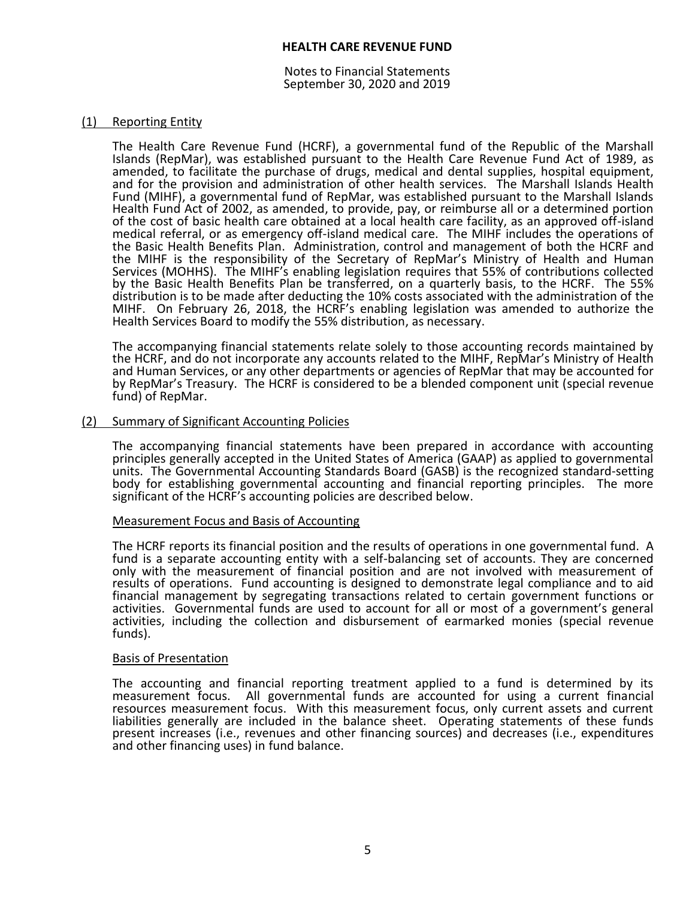Notes to Financial Statements September 30, 2020 and 2019

#### (1) Reporting Entity

The Health Care Revenue Fund (HCRF), a governmental fund of the Republic of the Marshall Islands (RepMar), was established pursuant to the Health Care Revenue Fund Act of 1989, as amended, to facilitate the purchase of drugs, medical and dental supplies, hospital equipment, and for the provision and administration of other health services. The Marshall Islands Health Fund (MIHF), a governmental fund of RepMar, was established pursuant to the Marshall Islands Health Fund Act of 2002, as amended, to provide, pay, or reimburse all or a determined portion of the cost of basic health care obtained at a local health care facility, as an approved off-island medical referral, or as emergency off-island medical care. The MIHF includes the operations of the Basic Health Benefits Plan. Administration, control and management of both the HCRF and the MIHF is the responsibility of the Secretary of RepMar's Ministry of Health and Human Services (MOHHS). The MIHF's enabling legislation requires that 55% of contributions collected by the Basic Health Benefits Plan be transferred, on a quarterly basis, to the HCRF. The 55% distribution is to be made after deducting the 10% costs associated with the administration of the MIHF. On February 26, 2018, the HCRF's enabling legislation was amended to authorize the Health Services Board to modify the 55% distribution, as necessary.

The accompanying financial statements relate solely to those accounting records maintained by the HCRF, and do not incorporate any accounts related to the MIHF, RepMar's Ministry of Health and Human Services, or any other departments or agencies of RepMar that may be accounted for by RepMar's Treasury. The HCRF is considered to be a blended component unit (special revenue fund) of RepMar.

# (2) Summary of Significant Accounting Policies

The accompanying financial statements have been prepared in accordance with accounting principles generally accepted in the United States of America (GAAP) as applied to governmental units. The Governmental Accounting Standards Board (GASB) is the recognized standard-setting body for establishing governmental accounting and financial reporting principles. The more significant of the HCRF's accounting policies are described below.

#### Measurement Focus and Basis of Accounting

The HCRF reports its financial position and the results of operations in one governmental fund. A fund is a separate accounting entity with a self-balancing set of accounts. They are concerned only with the measurement of financial position and are not involved with measurement of results of operations. Fund accounting is designed to demonstrate legal compliance and to aid financial management by segregating transactions related to certain government functions or activities. Governmental funds are used to account for all or most of a government's general activities, including the collection and disbursement of earmarked monies (special revenue funds).

#### Basis of Presentation

The accounting and financial reporting treatment applied to a fund is determined by its measurement focus. All governmental funds are accounted for using a current financial resources measurement focus. With this measurement focus, only current assets and current liabilities generally are included in the balance sheet. Operating statements of these funds present increases (i.e., revenues and other financing sources) and decreases (i.e., expenditures and other financing uses) in fund balance.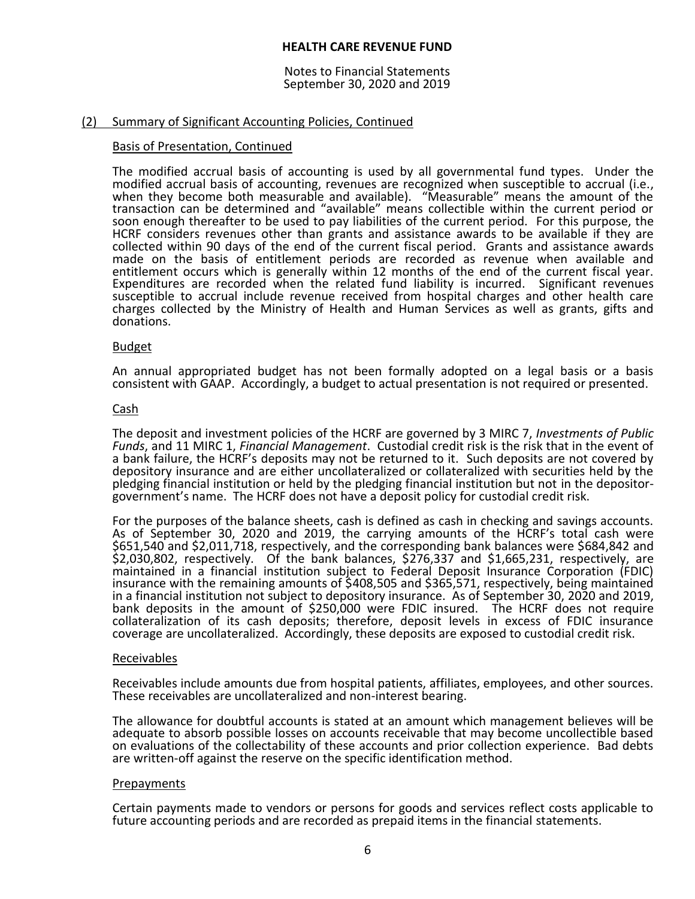Notes to Financial Statements September 30, 2020 and 2019

# (2) Summary of Significant Accounting Policies, Continued

# Basis of Presentation, Continued

The modified accrual basis of accounting is used by all governmental fund types. Under the modified accrual basis of accounting, revenues are recognized when susceptible to accrual (i.e., when they become both measurable and available). "Measurable" means the amount of the transaction can be determined and "available" means collectible within the current period or soon enough thereafter to be used to pay liabilities of the current period. For this purpose, the HCRF considers revenues other than grants and assistance awards to be available if they are collected within 90 days of the end of the current fiscal period. Grants and assistance awards made on the basis of entitlement periods are recorded as revenue when available and entitlement occurs which is generally within 12 months of the end of the current fiscal year. Expenditures are recorded when the related fund liability is incurred. Significant revenues susceptible to accrual include revenue received from hospital charges and other health care charges collected by the Ministry of Health and Human Services as well as grants, gifts and donations.

# Budget

An annual appropriated budget has not been formally adopted on a legal basis or a basis consistent with GAAP. Accordingly, a budget to actual presentation is not required or presented.

# Cash

The deposit and investment policies of the HCRF are governed by 3 MIRC 7, *Investments of Public Funds*, and 11 MIRC 1, *Financial Management*. Custodial credit risk is the risk that in the event of a bank failure, the HCRF's deposits may not be returned to it. Such deposits are not covered by depository insurance and are either uncollateralized or collateralized with securities held by the pledging financial institution or held by the pledging financial institution but not in the depositorgovernment's name. The HCRF does not have a deposit policy for custodial credit risk.

For the purposes of the balance sheets, cash is defined as cash in checking and savings accounts. As of September 30, 2020 and 2019, the carrying amounts of the HCRF's total cash were \$651,540 and \$2,011,718, respectively, and the corresponding bank balances were \$684,842 and \$2,030,802, respectively. Of the bank balances, \$276,337 and \$1,665,231, respectively, are maintained in a financial institution subject to Federal Deposit Insurance Corporation (FDIC) insurance with the remaining amounts of \$408,505 and \$365,571, respectively, being maintained in a financial institution not subject to depository insurance. As of September 30, 2020 and 2019, bank deposits in the amount of \$250,000 were FDIC insured. The HCRF does not require collateralization of its cash deposits; therefore, deposit levels in excess of FDIC insurance coverage are uncollateralized. Accordingly, these deposits are exposed to custodial credit risk.

#### Receivables

Receivables include amounts due from hospital patients, affiliates, employees, and other sources. These receivables are uncollateralized and non-interest bearing.

The allowance for doubtful accounts is stated at an amount which management believes will be adequate to absorb possible losses on accounts receivable that may become uncollectible based on evaluations of the collectability of these accounts and prior collection experience. Bad debts are written-off against the reserve on the specific identification method.

#### Prepayments

Certain payments made to vendors or persons for goods and services reflect costs applicable to future accounting periods and are recorded as prepaid items in the financial statements.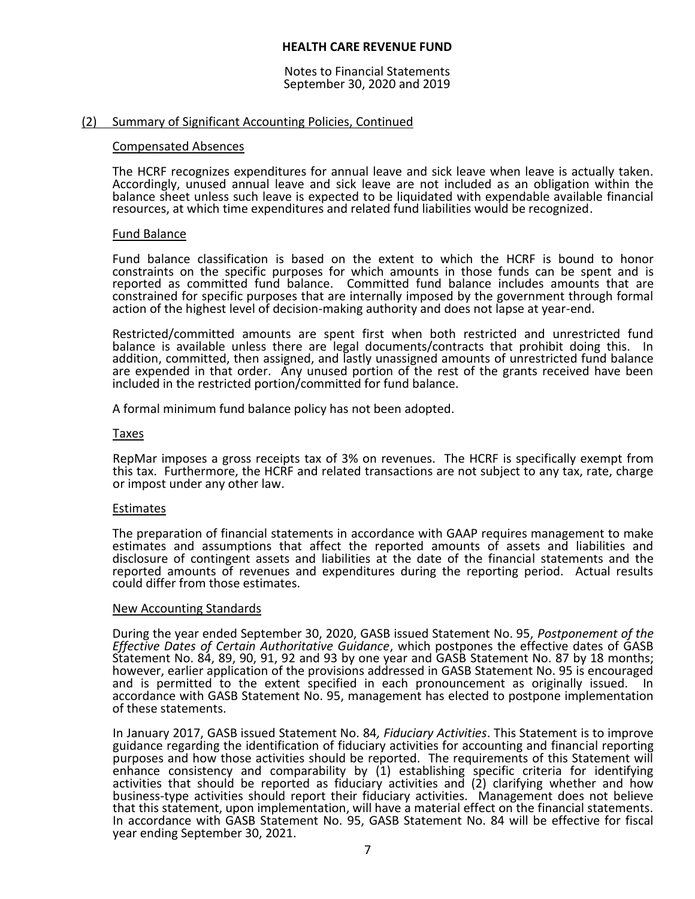Notes to Financial Statements September 30, 2020 and 2019

# (2) Summary of Significant Accounting Policies, Continued

#### Compensated Absences

The HCRF recognizes expenditures for annual leave and sick leave when leave is actually taken. Accordingly, unused annual leave and sick leave are not included as an obligation within the balance sheet unless such leave is expected to be liquidated with expendable available financial resources, at which time expenditures and related fund liabilities would be recognized.

#### Fund Balance

Fund balance classification is based on the extent to which the HCRF is bound to honor constraints on the specific purposes for which amounts in those funds can be spent and is reported as committed fund balance. Committed fund balance includes amounts that are constrained for specific purposes that are internally imposed by the government through formal action of the highest level of decision-making authority and does not lapse at year-end.

Restricted/committed amounts are spent first when both restricted and unrestricted fund balance is available unless there are legal documents/contracts that prohibit doing this. In addition, committed, then assigned, and lastly unassigned amounts of unrestricted fund balance are expended in that order. Any unused portion of the rest of the grants received have been included in the restricted portion/committed for fund balance.

A formal minimum fund balance policy has not been adopted.

#### Taxes

RepMar imposes a gross receipts tax of 3% on revenues. The HCRF is specifically exempt from this tax. Furthermore, the HCRF and related transactions are not subject to any tax, rate, charge or impost under any other law.

#### Estimates

The preparation of financial statements in accordance with GAAP requires management to make estimates and assumptions that affect the reported amounts of assets and liabilities and disclosure of contingent assets and liabilities at the date of the financial statements and the reported amounts of revenues and expenditures during the reporting period. Actual results could differ from those estimates.

#### New Accounting Standards

During the year ended September 30, 2020, GASB issued Statement No. 95, *Postponement of the Effective Dates of Certain Authoritative Guidance*, which postpones the effective dates of GASB Statement No. 84, 89, 90, 91, 92 and 93 by one year and GASB Statement No. 87 by 18 months; however, earlier application of the provisions addressed in GASB Statement No. 95 is encouraged and is permitted to the extent specified in each pronouncement as originally issued. In accordance with GASB Statement No. 95, management has elected to postpone implementation of these statements.

In January 2017, GASB issued Statement No. 84*, Fiduciary Activities*. This Statement is to improve guidance regarding the identification of fiduciary activities for accounting and financial reporting purposes and how those activities should be reported. The requirements of this Statement will enhance consistency and comparability by (1) establishing specific criteria for identifying activities that should be reported as fiduciary activities and (2) clarifying whether and how business-type activities should report their fiduciary activities. Management does not believe that this statement, upon implementation, will have a material effect on the financial statements. In accordance with GASB Statement No. 95, GASB Statement No. 84 will be effective for fiscal year ending September 30, 2021.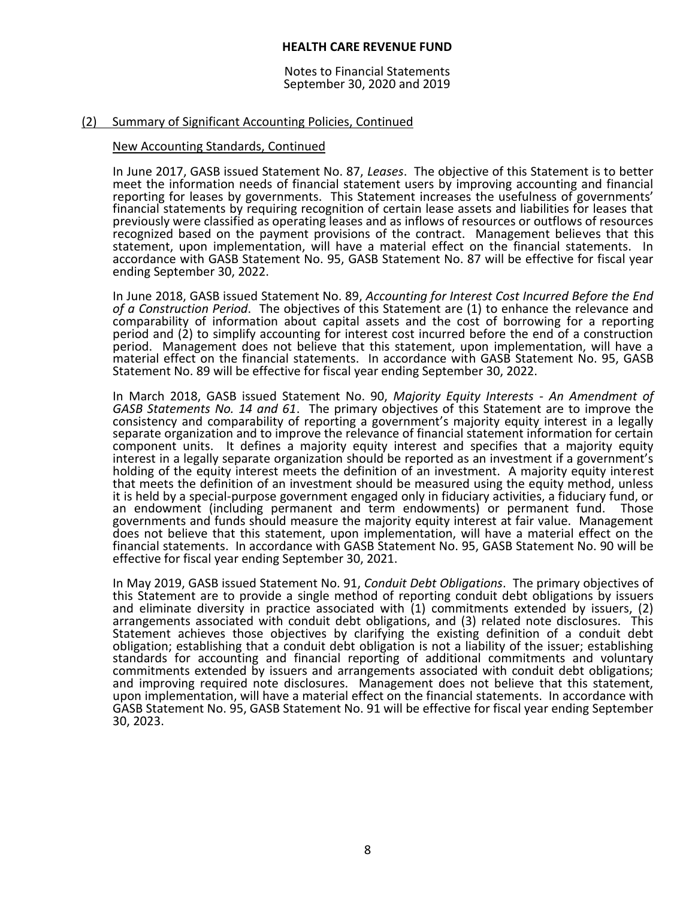Notes to Financial Statements September 30, 2020 and 2019

# (2) Summary of Significant Accounting Policies, Continued

# New Accounting Standards, Continued

In June 2017, GASB issued Statement No. 87, *Leases*. The objective of this Statement is to better meet the information needs of financial statement users by improving accounting and financial reporting for leases by governments. This Statement increases the usefulness of governments' financial statements by requiring recognition of certain lease assets and liabilities for leases that previously were classified as operating leases and as inflows of resources or outflows of resources recognized based on the payment provisions of the contract. Management believes that this statement, upon implementation, will have a material effect on the financial statements. In accordance with GASB Statement No. 95, GASB Statement No. 87 will be effective for fiscal year ending September 30, 2022.

In June 2018, GASB issued Statement No. 89, *Accounting for Interest Cost Incurred Before the End of a Construction Period*. The objectives of this Statement are (1) to enhance the relevance and comparability of information about capital assets and the cost of borrowing for a reporting period and (2) to simplify accounting for interest cost incurred before the end of a construction period. Management does not believe that this statement, upon implementation, will have a material effect on the financial statements. In accordance with GASB Statement No. 95, GASB Statement No. 89 will be effective for fiscal year ending September 30, 2022.

In March 2018, GASB issued Statement No. 90, *Majority Equity Interests - An Amendment of GASB Statements No. 14 and 61*. The primary objectives of this Statement are to improve the consistency and comparability of reporting a government's majority equity interest in a legally separate organization and to improve the relevance of financial statement information for certain component units. It defines a majority equity interest and specifies that a majority equity interest in a legally separate organization should be reported as an investment if a government's holding of the equity interest meets the definition of an investment. A majority equity interest that meets the definition of an investment should be measured using the equity method, unless it is held by a special-purpose government engaged only in fiduciary activities, a fiduciary fund, or an endowment (including permanent and term endowments) or permanent fund. Those governments and funds should measure the majority equity interest at fair value. Management does not believe that this statement, upon implementation, will have a material effect on the financial statements. In accordance with GASB Statement No. 95, GASB Statement No. 90 will be effective for fiscal year ending September 30, 2021.

In May 2019, GASB issued Statement No. 91, *Conduit Debt Obligations*. The primary objectives of this Statement are to provide a single method of reporting conduit debt obligations by issuers and eliminate diversity in practice associated with (1) commitments extended by issuers, (2) arrangements associated with conduit debt obligations, and (3) related note disclosures. This Statement achieves those objectives by clarifying the existing definition of a conduit debt obligation; establishing that a conduit debt obligation is not a liability of the issuer; establishing standards for accounting and financial reporting of additional commitments and voluntary commitments extended by issuers and arrangements associated with conduit debt obligations; and improving required note disclosures. Management does not believe that this statement, upon implementation, will have a material effect on the financial statements. In accordance with GASB Statement No. 95, GASB Statement No. 91 will be effective for fiscal year ending September 30, 2023.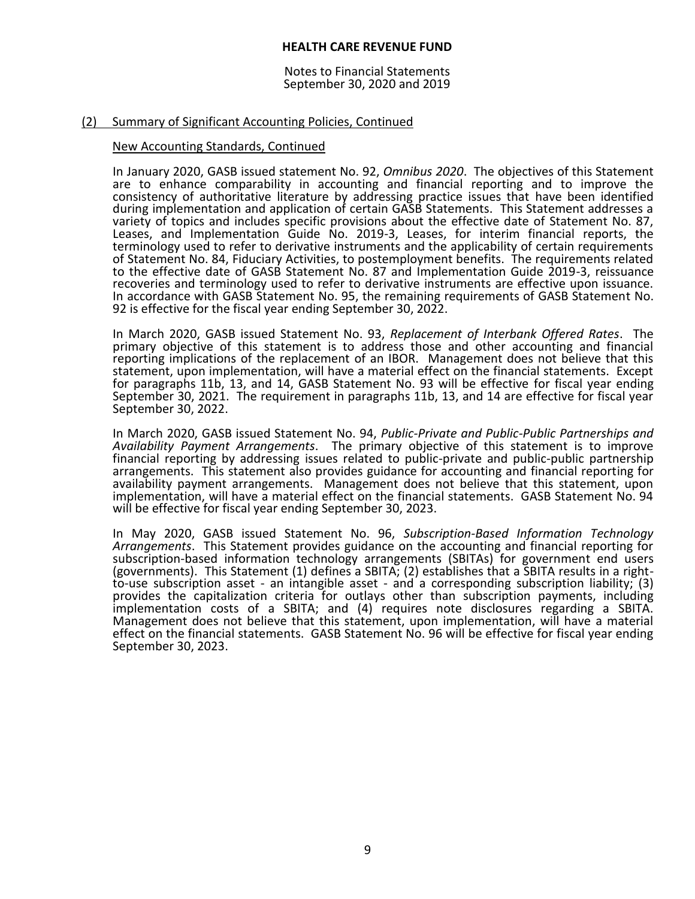Notes to Financial Statements September 30, 2020 and 2019

# (2) Summary of Significant Accounting Policies, Continued

#### New Accounting Standards, Continued

In January 2020, GASB issued statement No. 92, *Omnibus 2020*. The objectives of this Statement are to enhance comparability in accounting and financial reporting and to improve the consistency of authoritative literature by addressing practice issues that have been identified during implementation and application of certain GASB Statements. This Statement addresses a variety of topics and includes specific provisions about the effective date of Statement No. 87, Leases, and Implementation Guide No. 2019-3, Leases, for interim financial reports, the terminology used to refer to derivative instruments and the applicability of certain requirements of Statement No. 84, Fiduciary Activities, to postemployment benefits. The requirements related to the effective date of GASB Statement No. 87 and Implementation Guide 2019-3, reissuance recoveries and terminology used to refer to derivative instruments are effective upon issuance. In accordance with GASB Statement No. 95, the remaining requirements of GASB Statement No. 92 is effective for the fiscal year ending September 30, 2022.

In March 2020, GASB issued Statement No. 93, *Replacement of Interbank Offered Rates*. The primary objective of this statement is to address those and other accounting and financial reporting implications of the replacement of an IBOR. Management does not believe that this statement, upon implementation, will have a material effect on the financial statements. Except for paragraphs 11b, 13, and 14, GASB Statement No. 93 will be effective for fiscal year ending September 30, 2021. The requirement in paragraphs 11b, 13, and 14 are effective for fiscal year September 30, 2022.

In March 2020, GASB issued Statement No. 94, *Public-Private and Public-Public Partnerships and Availability Payment Arrangements*. The primary objective of this statement is to improve financial reporting by addressing issues related to public-private and public-public partnership arrangements. This statement also provides guidance for accounting and financial reporting for availability payment arrangements. Management does not believe that this statement, upon implementation, will have a material effect on the financial statements. GASB Statement No. 94 will be effective for fiscal year ending September 30, 2023.

In May 2020, GASB issued Statement No. 96, *Subscription-Based Information Technology Arrangements*. This Statement provides guidance on the accounting and financial reporting for subscription-based information technology arrangements (SBITAs) for government end users (governments). This Statement (1) defines a SBITA; (2) establishes that a SBITA results in a right- $\overline{t}$  to-use subscription asset - an intangible asset - and a corresponding subscription liability; (3) provides the capitalization criteria for outlays other than subscription payments, including implementation costs of a SBITA; and (4) requires note disclosures regarding a SBITA. Management does not believe that this statement, upon implementation, will have a material effect on the financial statements. GASB Statement No. 96 will be effective for fiscal year ending September 30, 2023.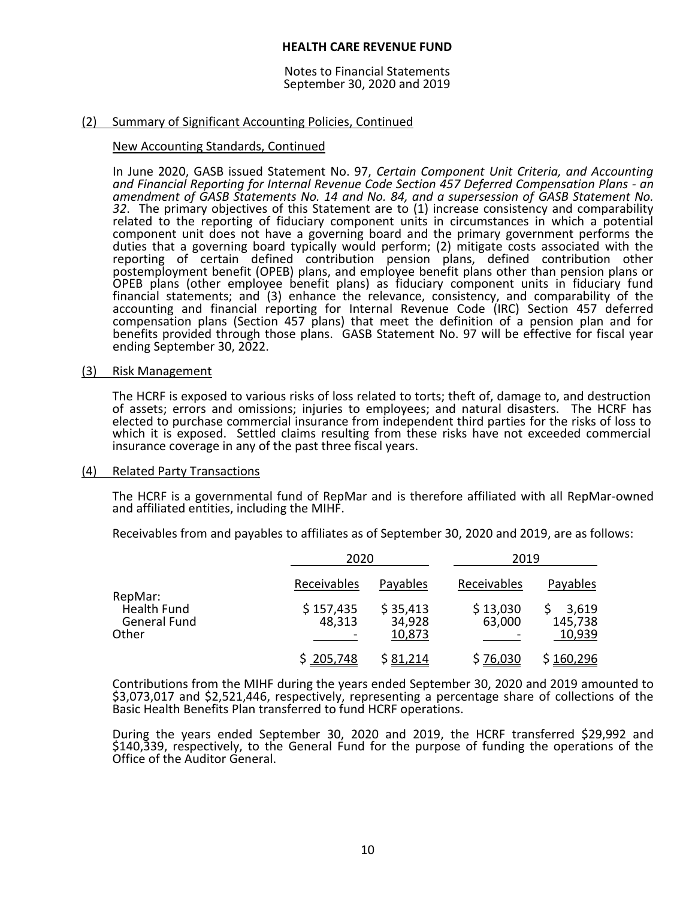Notes to Financial Statements September 30, 2020 and 2019

# (2) Summary of Significant Accounting Policies, Continued

# New Accounting Standards, Continued

In June 2020, GASB issued Statement No. 97, *Certain Component Unit Criteria, and Accounting and Financial Reporting for Internal Revenue Code Section 457 Deferred Compensation Plans - an amendment of GASB Statements No. 14 and No. 84, and a supersession of GASB Statement No. 32*. The primary objectives of this Statement are to (1) increase consistency and comparability related to the reporting of fiduciary component units in circumstances in which a potential component unit does not have a governing board and the primary government performs the duties that a governing board typically would perform; (2) mitigate costs associated with the reporting of certain defined contribution pension plans, defined contribution other postemployment benefit (OPEB) plans, and employee benefit plans other than pension plans or OPEB plans (other employee benefit plans) as fiduciary component units in fiduciary fund financial statements; and (3) enhance the relevance, consistency, and comparability of the accounting and financial reporting for Internal Revenue Code (IRC) Section 457 deferred compensation plans (Section 457 plans) that meet the definition of a pension plan and for benefits provided through those plans. GASB Statement No. 97 will be effective for fiscal year ending September 30, 2022.

#### (3) Risk Management

The HCRF is exposed to various risks of loss related to torts; theft of, damage to, and destruction of assets; errors and omissions; injuries to employees; and natural disasters. The HCRF has elected to purchase commercial insurance from independent third parties for the risks of loss to which it is exposed. Settled claims resulting from these risks have not exceeded commercial insurance coverage in any of the past three fiscal years.

#### (4) Related Party Transactions

The HCRF is a governmental fund of RepMar and is therefore affiliated with all RepMar-owned and affiliated entities, including the MIHF.

Receivables from and payables to affiliates as of September 30, 2020 and 2019, are as follows:

|                                             |                     | 2020                         |                    | 2019                       |  |
|---------------------------------------------|---------------------|------------------------------|--------------------|----------------------------|--|
| RepMar:                                     | Receivables         | Payables                     | Receivables        | Payables                   |  |
| Health Fund<br><b>General Fund</b><br>Other | \$157,435<br>48,313 | \$35,413<br>34,928<br>10,873 | \$13,030<br>63,000 | 3,619<br>145,738<br>10,939 |  |
|                                             | \$205,748           | \$ <u>81,214</u>             | \$ 76,030          | \$160,296                  |  |

Contributions from the MIHF during the years ended September 30, 2020 and 2019 amounted to \$3,073,017 and \$2,521,446, respectively, representing a percentage share of collections of the Basic Health Benefits Plan transferred to fund HCRF operations.

During the years ended September 30, 2020 and 2019, the HCRF transferred \$29,992 and \$140,339, respectively, to the General Fund for the purpose of funding the operations of the Office of the Auditor General.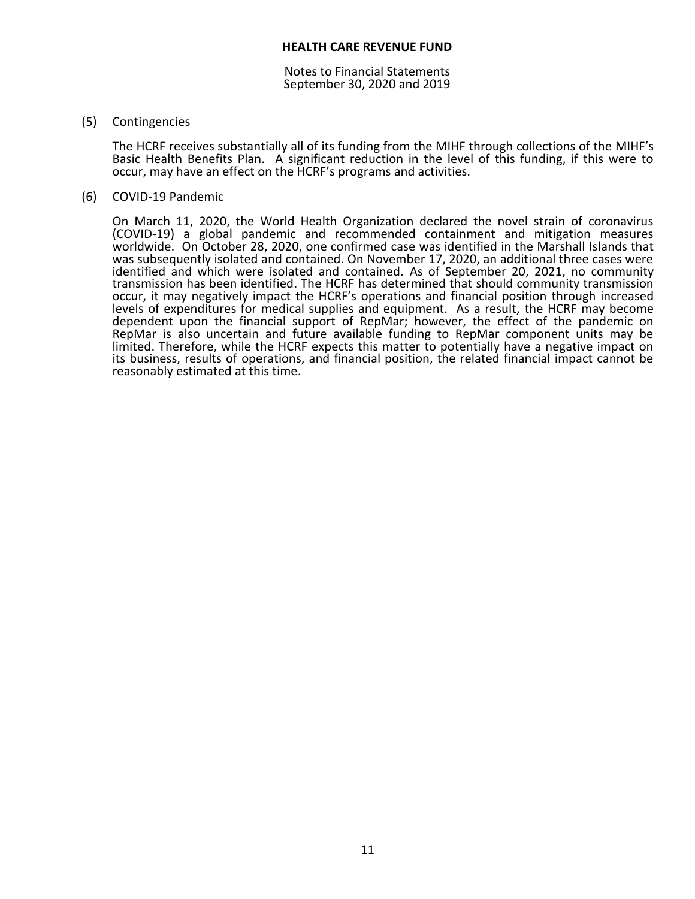Notes to Financial Statements September 30, 2020 and 2019

# (5) Contingencies

The HCRF receives substantially all of its funding from the MIHF through collections of the MIHF's Basic Health Benefits Plan. A significant reduction in the level of this funding, if this were to occur, may have an effect on the HCRF's programs and activities.

# (6) COVID-19 Pandemic

On March 11, 2020, the World Health Organization declared the novel strain of coronavirus (COVID-19) a global pandemic and recommended containment and mitigation measures worldwide. On October 28, 2020, one confirmed case was identified in the Marshall Islands that was subsequently isolated and contained. On November 17, 2020, an additional three cases were identified and which were isolated and contained. As of September 20, 2021, no community transmission has been identified. The HCRF has determined that should community transmission occur, it may negatively impact the HCRF's operations and financial position through increased levels of expenditures for medical supplies and equipment. As a result, the HCRF may become dependent upon the financial support of RepMar; however, the effect of the pandemic on RepMar is also uncertain and future available funding to RepMar component units may be limited. Therefore, while the HCRF expects this matter to potentially have a negative impact on its business, results of operations, and financial position, the related financial impact cannot be reasonably estimated at this time.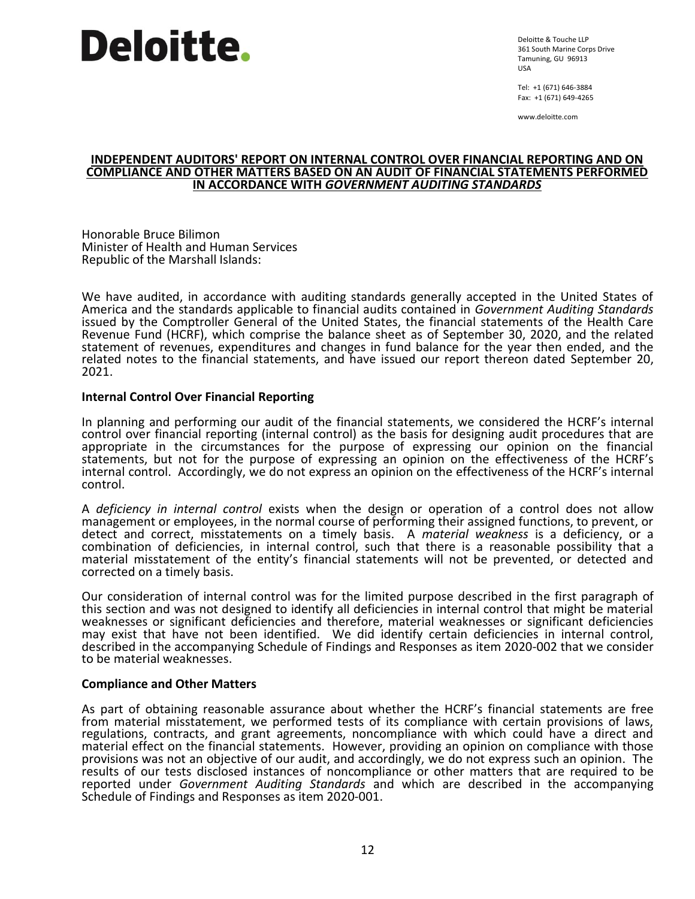Deloitte & Touche LLP 361 South Marine Corps Drive Tamuning, GU 96913 USA

Tel: +1 (671) 646-3884 Fax: +1 (671) 649-4265

www.deloitte.com

#### **INDEPENDENT AUDITORS' REPORT ON INTERNAL CONTROL OVER FINANCIAL REPORTING AND ON COMPLIANCE AND OTHER MATTERS BASED ON AN AUDIT OF FINANCIAL STATEMENTS PERFORMED IN ACCORDANCE WITH** *GOVERNMENT AUDITING STANDARDS*

Honorable Bruce Bilimon Minister of Health and Human Services Republic of the Marshall Islands:

We have audited, in accordance with auditing standards generally accepted in the United States of America and the standards applicable to financial audits contained in *Government Auditing Standards* issued by the Comptroller General of the United States, the financial statements of the Health Care Revenue Fund (HCRF), which comprise the balance sheet as of September 30, 2020, and the related statement of revenues, expenditures and changes in fund balance for the year then ended, and the related notes to the financial statements, and have issued our report thereon dated September 20, 2021.

# **Internal Control Over Financial Reporting**

In planning and performing our audit of the financial statements, we considered the HCRF's internal control over financial reporting (internal control) as the basis for designing audit procedures that are appropriate in the circumstances for the purpose of expressing our opinion on the financial statements, but not for the purpose of expressing an opinion on the effectiveness of the HCRF's internal control. Accordingly, we do not express an opinion on the effectiveness of the HCRF's internal control.

A *deficiency in internal control* exists when the design or operation of a control does not allow management or employees, in the normal course of performing their assigned functions, to prevent, or detect and correct, misstatements on a timely basis. A *material weakness* is a deficiency, or a combination of deficiencies, in internal control, such that there is a reasonable possibility that a material misstatement of the entity's financial statements will not be prevented, or detected and corrected on a timely basis.

Our consideration of internal control was for the limited purpose described in the first paragraph of this section and was not designed to identify all deficiencies in internal control that might be material weaknesses or significant deficiencies and therefore, material weaknesses or significant deficiencies may exist that have not been identified. We did identify certain deficiencies in internal control, described in the accompanying Schedule of Findings and Responses as item 2020-002 that we consider to be material weaknesses.

#### **Compliance and Other Matters**

As part of obtaining reasonable assurance about whether the HCRF's financial statements are free from material misstatement, we performed tests of its compliance with certain provisions of laws, regulations, contracts, and grant agreements, noncompliance with which could have a direct and material effect on the financial statements. However, providing an opinion on compliance with those provisions was not an objective of our audit, and accordingly, we do not express such an opinion. The results of our tests disclosed instances of noncompliance or other matters that are required to be reported under *Government Auditing Standards* and which are described in the accompanying Schedule of Findings and Responses as item 2020-001.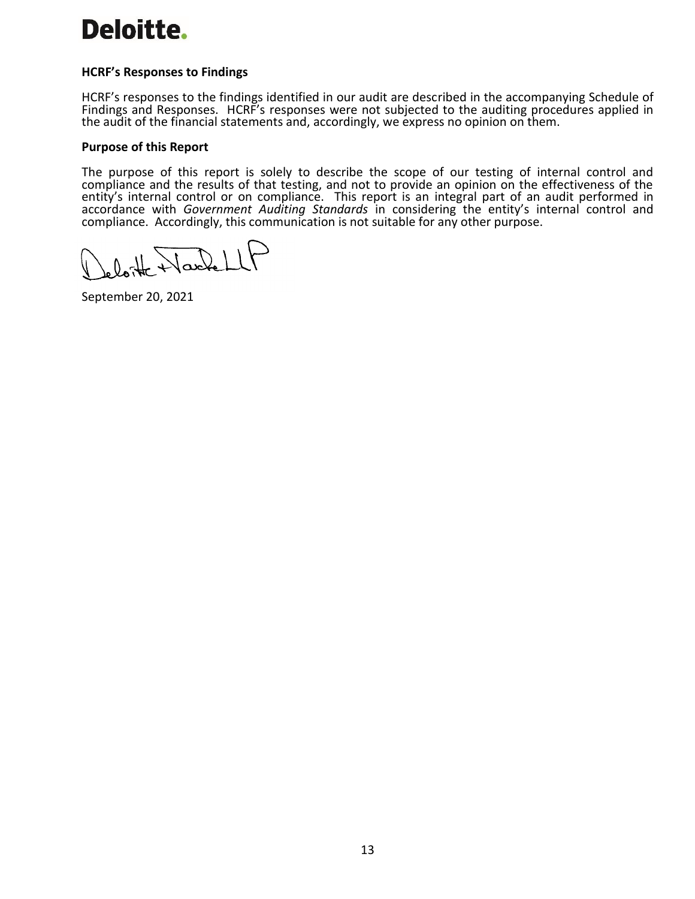# **HCRF's Responses to Findings**

HCRF's responses to the findings identified in our audit are described in the accompanying Schedule of Findings and Responses. HCRF's responses were not subjected to the auditing procedures applied in the audit of the financial statements and, accordingly, we express no opinion on them.

# **Purpose of this Report**

The purpose of this report is solely to describe the scope of our testing of internal control and compliance and the results of that testing, and not to provide an opinion on the effectiveness of the entity's internal control or on compliance. This report is an integral part of an audit performed in accordance with *Government Auditing Standards* in considering the entity's internal control and compliance. Accordingly, this communication is not suitable for any other purpose.

September 20, 2021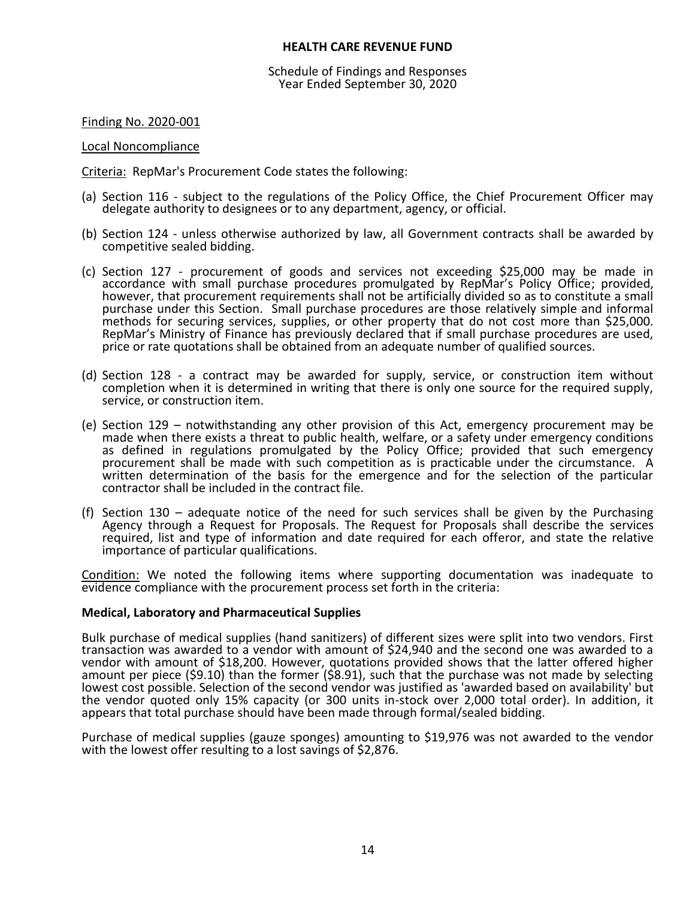Schedule of Findings and Responses Year Ended September 30, 2020

#### Finding No. 2020-001

#### Local Noncompliance

Criteria: RepMar's Procurement Code states the following:

- (a) Section 116 subject to the regulations of the Policy Office, the Chief Procurement Officer may delegate authority to designees or to any department, agency, or official.
- (b) Section 124 unless otherwise authorized by law, all Government contracts shall be awarded by competitive sealed bidding.
- (c) Section 127 procurement of goods and services not exceeding \$25,000 may be made in accordance with small purchase procedures promulgated by RepMar's Policy Office; provided, however, that procurement requirements shall not be artificially divided so as to constitute a small purchase under this Section. Small purchase procedures are those relatively simple and informal methods for securing services, supplies, or other property that do not cost more than \$25,000. RepMar's Ministry of Finance has previously declared that if small purchase procedures are used, price or rate quotations shall be obtained from an adequate number of qualified sources.
- (d) Section 128 a contract may be awarded for supply, service, or construction item without completion when it is determined in writing that there is only one source for the required supply, service, or construction item.
- (e) Section 129 notwithstanding any other provision of this Act, emergency procurement may be made when there exists a threat to public health, welfare, or a safety under emergency conditions as defined in regulations promulgated by the Policy Office; provided that such emergency procurement shall be made with such competition as is practicable under the circumstance. A written determination of the basis for the emergence and for the selection of the particular contractor shall be included in the contract file.
- (f) Section 130 adequate notice of the need for such services shall be given by the Purchasing Agency through a Request for Proposals. The Request for Proposals shall describe the services required, list and type of information and date required for each offeror, and state the relative importance of particular qualifications.

Condition: We noted the following items where supporting documentation was inadequate to evidence compliance with the procurement process set forth in the criteria:

#### **Medical, Laboratory and Pharmaceutical Supplies**

Bulk purchase of medical supplies (hand sanitizers) of different sizes were split into two vendors. First transaction was awarded to a vendor with amount of \$24,940 and the second one was awarded to a vendor with amount of \$18,200. However, quotations provided shows that the latter offered higher amount per piece (\$9.10) than the former (\$8.91), such that the purchase was not made by selecting lowest cost possible. Selection of the second vendor was justified as 'awarded based on availability' but the vendor quoted only 15% capacity (or 300 units in-stock over 2,000 total order). In addition, it appears that total purchase should have been made through formal/sealed bidding.

Purchase of medical supplies (gauze sponges) amounting to \$19,976 was not awarded to the vendor with the lowest offer resulting to a lost savings of \$2,876.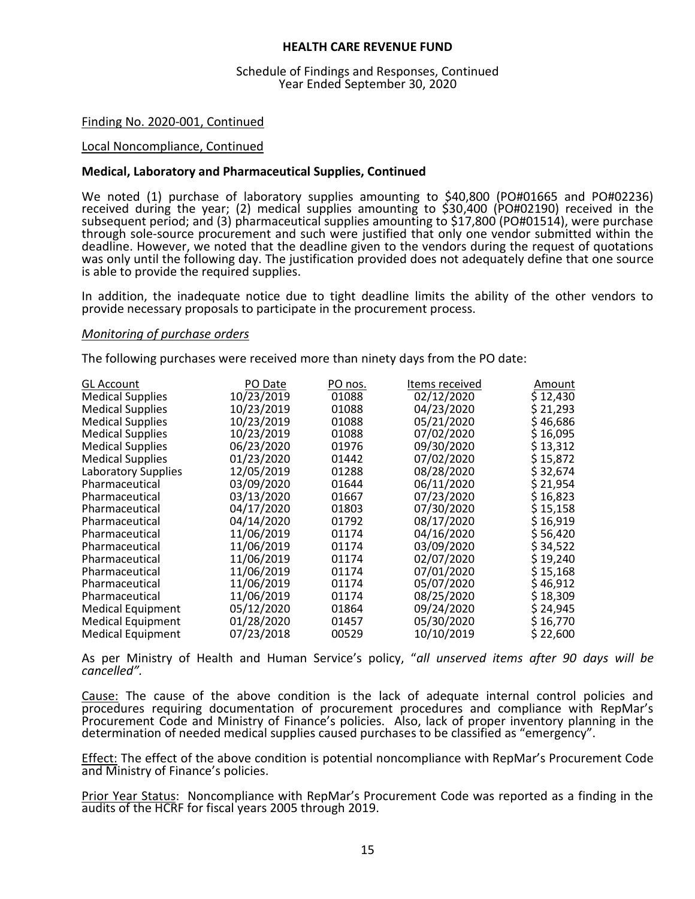#### Schedule of Findings and Responses, Continued Year Ended September 30, 2020

#### Finding No. 2020-001, Continued

#### Local Noncompliance, Continued

# **Medical, Laboratory and Pharmaceutical Supplies, Continued**

We noted (1) purchase of laboratory supplies amounting to \$40,800 (PO#01665 and PO#02236) received during the year; (2) medical supplies amounting to \$30,400 (PO#02190) received in the subsequent period; and (3) pharmaceutical supplies amounting to \$17,800 (PO#01514), were purchase through sole-source procurement and such were justified that only one vendor submitted within the deadline. However, we noted that the deadline given to the vendors during the request of quotations was only until the following day. The justification provided does not adequately define that one source is able to provide the required supplies.

In addition, the inadequate notice due to tight deadline limits the ability of the other vendors to provide necessary proposals to participate in the procurement process.

#### *Monitoring of purchase orders*

The following purchases were received more than ninety days from the PO date:

| <b>GL Account</b>        | PO Date    | PO nos. | Items received | Amount    |
|--------------------------|------------|---------|----------------|-----------|
| <b>Medical Supplies</b>  | 10/23/2019 | 01088   | 02/12/2020     | \$ 12,430 |
| <b>Medical Supplies</b>  | 10/23/2019 | 01088   | 04/23/2020     | \$ 21,293 |
| <b>Medical Supplies</b>  | 10/23/2019 | 01088   | 05/21/2020     | \$46,686  |
| <b>Medical Supplies</b>  | 10/23/2019 | 01088   | 07/02/2020     | \$ 16,095 |
| <b>Medical Supplies</b>  | 06/23/2020 | 01976   | 09/30/2020     | \$13,312  |
| <b>Medical Supplies</b>  | 01/23/2020 | 01442   | 07/02/2020     | \$15,872  |
| Laboratory Supplies      | 12/05/2019 | 01288   | 08/28/2020     | \$32,674  |
| Pharmaceutical           | 03/09/2020 | 01644   | 06/11/2020     | \$21,954  |
| Pharmaceutical           | 03/13/2020 | 01667   | 07/23/2020     | \$16,823  |
| Pharmaceutical           | 04/17/2020 | 01803   | 07/30/2020     | \$15,158  |
| Pharmaceutical           | 04/14/2020 | 01792   | 08/17/2020     | \$16,919  |
| Pharmaceutical           | 11/06/2019 | 01174   | 04/16/2020     | \$56,420  |
| Pharmaceutical           | 11/06/2019 | 01174   | 03/09/2020     | \$ 34,522 |
| Pharmaceutical           | 11/06/2019 | 01174   | 02/07/2020     | \$19,240  |
| Pharmaceutical           | 11/06/2019 | 01174   | 07/01/2020     | \$15,168  |
| Pharmaceutical           | 11/06/2019 | 01174   | 05/07/2020     | \$46,912  |
| Pharmaceutical           | 11/06/2019 | 01174   | 08/25/2020     | \$18,309  |
| <b>Medical Equipment</b> | 05/12/2020 | 01864   | 09/24/2020     | \$24,945  |
| <b>Medical Equipment</b> | 01/28/2020 | 01457   | 05/30/2020     | \$16,770  |
| <b>Medical Equipment</b> | 07/23/2018 | 00529   | 10/10/2019     | \$ 22,600 |

As per Ministry of Health and Human Service's policy, "*all unserved items after 90 days will be cancelled".*

Cause: The cause of the above condition is the lack of adequate internal control policies and procedures requiring documentation of procurement procedures and compliance with RepMar's Procurement Code and Ministry of Finance's policies. Also, lack of proper inventory planning in the determination of needed medical supplies caused purchases to be classified as "emergency".

Effect: The effect of the above condition is potential noncompliance with RepMar's Procurement Code and Ministry of Finance's policies.

Prior Year Status: Noncompliance with RepMar's Procurement Code was reported as a finding in the audits of the HCRF for fiscal years 2005 through 2019.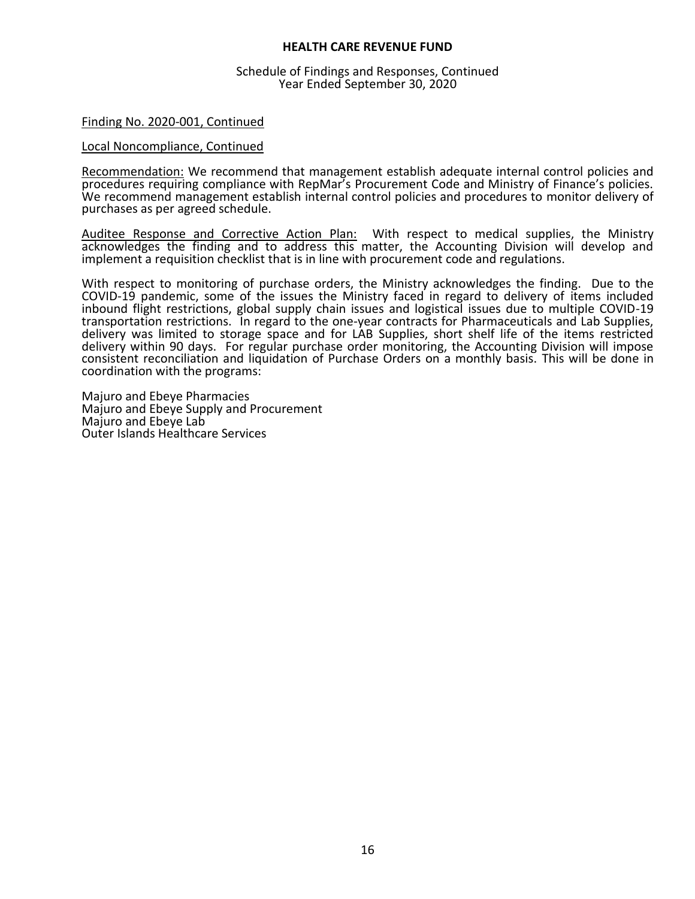#### Schedule of Findings and Responses, Continued Year Ended September 30, 2020

#### Finding No. 2020-001, Continued

#### Local Noncompliance, Continued

Recommendation: We recommend that management establish adequate internal control policies and procedures requiring compliance with RepMar's Procurement Code and Ministry of Finance's policies. We recommend management establish internal control policies and procedures to monitor delivery of purchases as per agreed schedule.

Auditee Response and Corrective Action Plan: With respect to medical supplies, the Ministry acknowledges the finding and to address this matter, the Accounting Division will develop and implement a requisition checklist that is in line with procurement code and regulations.

With respect to monitoring of purchase orders, the Ministry acknowledges the finding. Due to the COVID-19 pandemic, some of the issues the Ministry faced in regard to delivery of items included inbound flight restrictions, global supply chain issues and logistical issues due to multiple COVID-19 transportation restrictions. In regard to the one-year contracts for Pharmaceuticals and Lab Supplies, delivery was limited to storage space and for LAB Supplies, short shelf life of the items restricted delivery within 90 days. For regular purchase order monitoring, the Accounting Division will impose consistent reconciliation and liquidation of Purchase Orders on a monthly basis. This will be done in coordination with the programs:

Majuro and Ebeye Pharmacies Majuro and Ebeye Supply and Procurement Majuro and Ebeye Lab Outer Islands Healthcare Services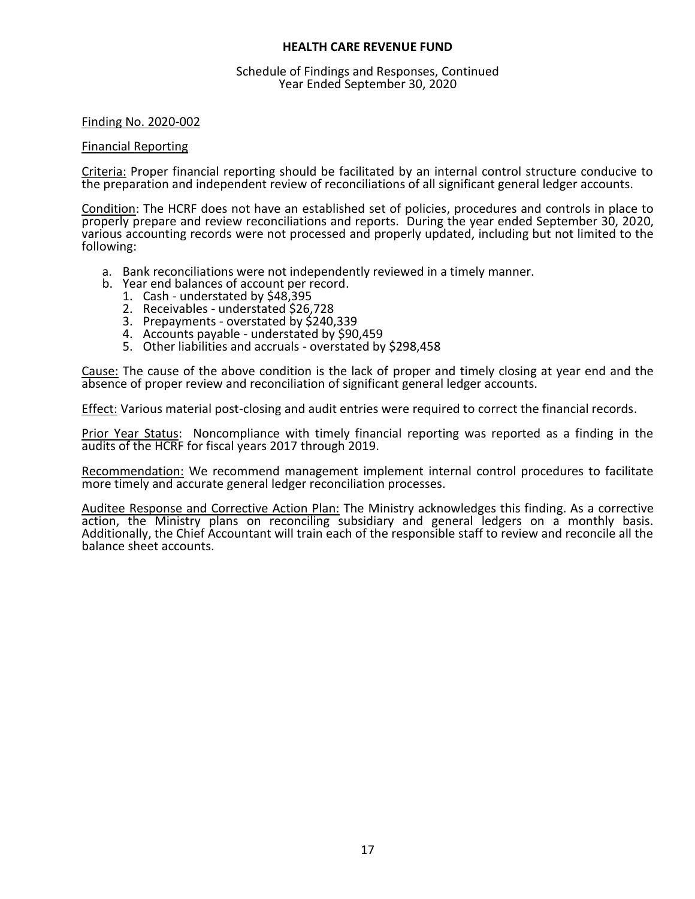Schedule of Findings and Responses, Continued Year Ended September 30, 2020

#### Finding No. 2020-002

#### Financial Reporting

Criteria: Proper financial reporting should be facilitated by an internal control structure conducive to the preparation and independent review of reconciliations of all significant general ledger accounts.

Condition: The HCRF does not have an established set of policies, procedures and controls in place to properly prepare and review reconciliations and reports. During the year ended September 30, 2020, various accounting records were not processed and properly updated, including but not limited to the following:

- a. Bank reconciliations were not independently reviewed in a timely manner.
- b. Year end balances of account per record.
	- 1. Cash understated by \$48,395
	- 2. Receivables understated \$26,728
	- 3. Prepayments overstated by \$240,339
	- 4. Accounts payable understated by \$90,459
	- 5. Other liabilities and accruals overstated by \$298,458

Cause: The cause of the above condition is the lack of proper and timely closing at year end and the absence of proper review and reconciliation of significant general ledger accounts.

Effect: Various material post-closing and audit entries were required to correct the financial records.

Prior Year Status: Noncompliance with timely financial reporting was reported as a finding in the audits of the HCRF for fiscal years 2017 through 2019.

Recommendation: We recommend management implement internal control procedures to facilitate more timely and accurate general ledger reconciliation processes.

Auditee Response and Corrective Action Plan: The Ministry acknowledges this finding. As a corrective action, the Ministry plans on reconciling subsidiary and general ledgers on a monthly basis. Additionally, the Chief Accountant will train each of the responsible staff to review and reconcile all the balance sheet accounts.